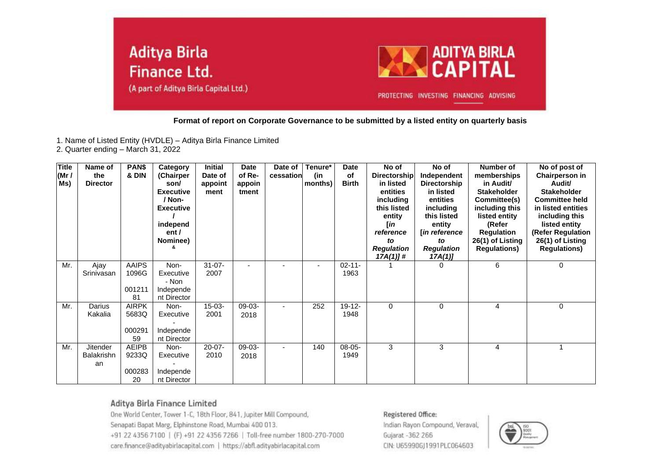

**Format of report on Corporate Governance to be submitted by a listed entity on quarterly basis**

1. Name of Listed Entity (HVDLE) – Aditya Birla Finance Limited

2. Quarter ending – March 31, 2022

| <b>Title</b><br>(Mr /<br>Ms) | Name of<br>the<br><b>Director</b>          | PAN\$<br>& DIN                        | Category<br>(Chairper<br>son/<br><b>Executive</b><br>/ Non-<br><b>Executive</b><br>independ<br>ent /<br>Nominee) | <b>Initial</b><br>Date of<br>appoint<br>ment | <b>Date</b><br>of Re-<br>appoin<br>tment | Date of<br>cessation | Tenure*<br>(in<br>months) | <b>Date</b><br><b>of</b><br><b>Birth</b> | No of<br><b>Directorship</b><br>in listed<br>entities<br>including<br>this listed<br>entity<br>[in<br>reference<br>to<br><b>Regulation</b><br>$17A(1)$ ]# | No of<br>Independent<br><b>Directorship</b><br>in listed<br>entities<br>including<br>this listed<br>entity<br><b>lin reference</b><br>to<br><b>Regulation</b><br>17A(1) | Number of<br>memberships<br>in Audit/<br><b>Stakeholder</b><br>Committee(s)<br>including this<br>listed entity<br>(Refer<br><b>Regulation</b><br>26(1) of Listing<br><b>Regulations)</b> | No of post of<br><b>Chairperson in</b><br>Audit/<br><b>Stakeholder</b><br><b>Committee held</b><br>in listed entities<br>including this<br>listed entity<br>(Refer Regulation<br>26(1) of Listing<br><b>Regulations)</b> |
|------------------------------|--------------------------------------------|---------------------------------------|------------------------------------------------------------------------------------------------------------------|----------------------------------------------|------------------------------------------|----------------------|---------------------------|------------------------------------------|-----------------------------------------------------------------------------------------------------------------------------------------------------------|-------------------------------------------------------------------------------------------------------------------------------------------------------------------------|------------------------------------------------------------------------------------------------------------------------------------------------------------------------------------------|--------------------------------------------------------------------------------------------------------------------------------------------------------------------------------------------------------------------------|
| Mr.                          | Ajay<br>Srinivasan                         | <b>AAIPS</b><br>1096G<br>001211<br>81 | Non-<br>Executive<br>- Non<br>Independe<br>nt Director                                                           | $31 - 07 -$<br>2007                          |                                          |                      | $\blacksquare$            | $02 - 11 -$<br>1963                      |                                                                                                                                                           | $\Omega$                                                                                                                                                                | 6                                                                                                                                                                                        | $\mathbf 0$                                                                                                                                                                                                              |
| Mr.                          | Darius<br>Kakalia                          | <b>AIRPK</b><br>5683Q<br>000291<br>59 | Non-<br>Executive<br>Independe<br>nt Director                                                                    | $15-03-$<br>2001                             | $09-03-$<br>2018                         |                      | 252                       | 19-12-<br>1948                           | $\Omega$                                                                                                                                                  | 0                                                                                                                                                                       | 4                                                                                                                                                                                        | $\mathbf 0$                                                                                                                                                                                                              |
| Mr.                          | <b>Jitender</b><br><b>Balakrishn</b><br>an | <b>AEIPB</b><br>9233Q<br>000283<br>20 | Non-<br>Executive<br>Independe<br>nt Director                                                                    | $20 - 07 -$<br>2010                          | $09-03-$<br>2018                         |                      | 140                       | $08-05-$<br>1949                         | 3                                                                                                                                                         | 3                                                                                                                                                                       | 4                                                                                                                                                                                        |                                                                                                                                                                                                                          |

### Aditya Birla Finance Limited

One World Center, Tower 1-C, 18th Floor, 841, Jupiter Mill Compound, Senapati Bapat Marg, Elphinstone Road, Mumbai 400 013. +91 22 4356 7100 | (F) +91 22 4356 7266 | Toll-free number 1800-270-7000 care.finance@adityabirlacapital.com | https://abfl.adityabirlacapital.com

#### Registered Office:

Indian Rayon Compound, Veraval, Gujarat - 362 266 CIN: U65990GJ1991PLC064603

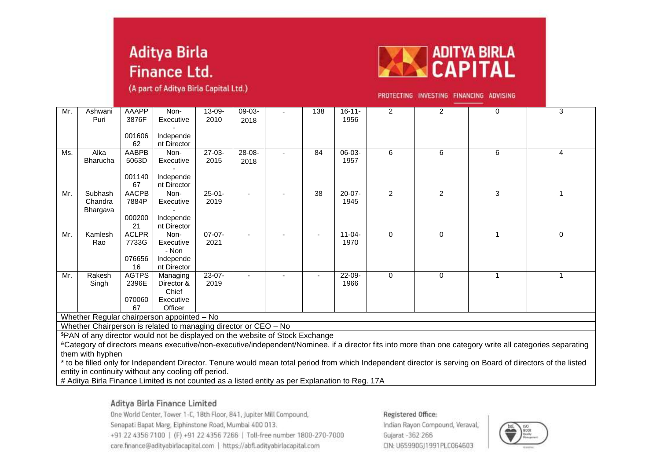(A part of Aditya Birla Capital Ltd.)



PROTECTING INVESTING FINANCING ADVISING

| Mr.                                        | Ashwani<br>Puri                                                                                                                                                                                                                                           | AAAPP<br>3876F | Non-<br>Executive        | $13 - 09 -$<br>2010 | 09-03- |  | 138 | $16 - 11 -$<br>1956 | $\overline{2}$ | $\overline{2}$ | $\Omega$ | 3                                                                                                                                                           |
|--------------------------------------------|-----------------------------------------------------------------------------------------------------------------------------------------------------------------------------------------------------------------------------------------------------------|----------------|--------------------------|---------------------|--------|--|-----|---------------------|----------------|----------------|----------|-------------------------------------------------------------------------------------------------------------------------------------------------------------|
|                                            |                                                                                                                                                                                                                                                           |                |                          |                     | 2018   |  |     |                     |                |                |          |                                                                                                                                                             |
|                                            |                                                                                                                                                                                                                                                           | 001606         | Independe                |                     |        |  |     |                     |                |                |          |                                                                                                                                                             |
|                                            |                                                                                                                                                                                                                                                           | 62             | nt Director              |                     |        |  |     |                     |                |                |          |                                                                                                                                                             |
| Ms.                                        | Alka                                                                                                                                                                                                                                                      | AABPB          | Non-                     | $27-03-$            | 28-08- |  | 84  | 06-03-              | 6              | 6              | 6        | 4                                                                                                                                                           |
|                                            | <b>Bharucha</b>                                                                                                                                                                                                                                           | 5063D          | Executive                | 2015                | 2018   |  |     | 1957                |                |                |          |                                                                                                                                                             |
|                                            |                                                                                                                                                                                                                                                           |                |                          |                     |        |  |     |                     |                |                |          |                                                                                                                                                             |
|                                            |                                                                                                                                                                                                                                                           | 001140<br>67   | Independe<br>nt Director |                     |        |  |     |                     |                |                |          |                                                                                                                                                             |
| Mr.                                        | Subhash                                                                                                                                                                                                                                                   | <b>AACPB</b>   | Non-                     | $25 - 01 -$         |        |  | 38  | $20 - 07 -$         | $\overline{2}$ | $\overline{2}$ | 3        | -1                                                                                                                                                          |
|                                            | Chandra                                                                                                                                                                                                                                                   | 7884P          | Executive                | 2019                |        |  |     | 1945                |                |                |          |                                                                                                                                                             |
|                                            | Bhargava                                                                                                                                                                                                                                                  |                |                          |                     |        |  |     |                     |                |                |          |                                                                                                                                                             |
|                                            |                                                                                                                                                                                                                                                           | 000200         | Independe                |                     |        |  |     |                     |                |                |          |                                                                                                                                                             |
|                                            |                                                                                                                                                                                                                                                           | 21             | nt Director              |                     |        |  |     |                     |                |                |          |                                                                                                                                                             |
| Mr.                                        | Kamlesh                                                                                                                                                                                                                                                   | <b>ACLPR</b>   | Non-                     | $07-07-$            |        |  |     | $11 - 04 -$         | $\Omega$       | $\Omega$       |          | $\Omega$                                                                                                                                                    |
|                                            | Rao                                                                                                                                                                                                                                                       | 7733G          | Executive<br>- Non       | 2021                |        |  |     | 1970                |                |                |          |                                                                                                                                                             |
|                                            |                                                                                                                                                                                                                                                           | 076656         | Independe                |                     |        |  |     |                     |                |                |          |                                                                                                                                                             |
|                                            |                                                                                                                                                                                                                                                           | 16             | nt Director              |                     |        |  |     |                     |                |                |          |                                                                                                                                                             |
| Mr.                                        | Rakesh                                                                                                                                                                                                                                                    | <b>AGTPS</b>   | Managing                 | 23-07-              |        |  |     | 22-09-              | $\Omega$       | $\Omega$       |          |                                                                                                                                                             |
|                                            | Singh                                                                                                                                                                                                                                                     | 2396E          | Director &               | 2019                |        |  |     | 1966                |                |                |          |                                                                                                                                                             |
|                                            |                                                                                                                                                                                                                                                           |                | Chief                    |                     |        |  |     |                     |                |                |          |                                                                                                                                                             |
|                                            |                                                                                                                                                                                                                                                           | 070060         | Executive                |                     |        |  |     |                     |                |                |          |                                                                                                                                                             |
|                                            |                                                                                                                                                                                                                                                           | 67             | Officer                  |                     |        |  |     |                     |                |                |          |                                                                                                                                                             |
| Whether Regular chairperson appointed - No |                                                                                                                                                                                                                                                           |                |                          |                     |        |  |     |                     |                |                |          |                                                                                                                                                             |
|                                            | Whether Chairperson is related to managing director or CEO - No                                                                                                                                                                                           |                |                          |                     |        |  |     |                     |                |                |          |                                                                                                                                                             |
|                                            | \$PAN of any director would not be displayed on the website of Stock Exchange<br><sup>&amp;</sup> Category of directors means executive/non-executive/independent/Nominee. if a director fits into more than one category write all categories separating |                |                          |                     |        |  |     |                     |                |                |          |                                                                                                                                                             |
|                                            |                                                                                                                                                                                                                                                           |                |                          |                     |        |  |     |                     |                |                |          |                                                                                                                                                             |
|                                            | them with hyphen                                                                                                                                                                                                                                          |                |                          |                     |        |  |     |                     |                |                |          | * to be filled only for Independent Director. Tenure would mean total period from which Independent director is serving on Board of directors of the listed |

entity in continuity without any cooling off period.

# Aditya Birla Finance Limited is not counted as a listed entity as per Explanation to Reg. 17A

# Aditya Birla Finance Limited

One World Center, Tower 1-C, 18th Floor, 841, Jupiter Mill Compound, Senapati Bapat Marg, Elphinstone Road, Mumbai 400 013. +91 22 4356 7100 | (F) +91 22 4356 7266 | Toll-free number 1800-270-7000 care.finance@adityabirlacapital.com | https://abfl.adityabirlacapital.com

#### Registered Office:

Indian Rayon Compound, Veraval, Gujarat -362 266 CIN: U65990GJ1991PLC064603

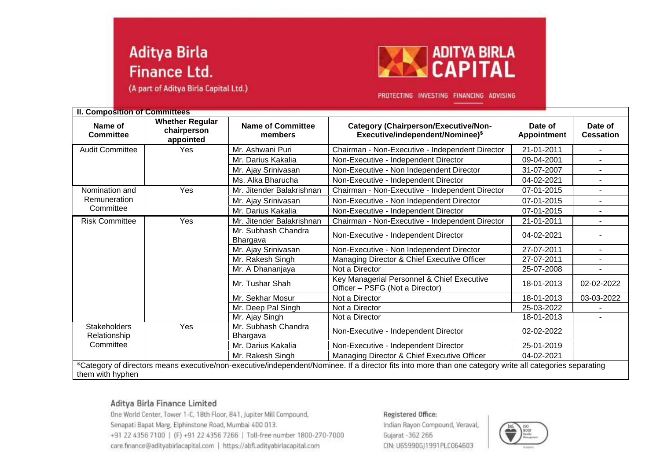(A part of Aditya Birla Capital Ltd.)



PROTECTING INVESTING FINANCING ADVISING

| <b>II. Composition of Committees</b> |                                                    |                                     |                                                                                                                                                          |                        |                             |
|--------------------------------------|----------------------------------------------------|-------------------------------------|----------------------------------------------------------------------------------------------------------------------------------------------------------|------------------------|-----------------------------|
| Name of<br><b>Committee</b>          | <b>Whether Regular</b><br>chairperson<br>appointed | <b>Name of Committee</b><br>members | <b>Category (Chairperson/Executive/Non-</b><br>Executive/independent/Nominee)\$                                                                          | Date of<br>Appointment | Date of<br><b>Cessation</b> |
| <b>Audit Committee</b>               | Yes                                                | Mr. Ashwani Puri                    | Chairman - Non-Executive - Independent Director                                                                                                          | 21-01-2011             |                             |
|                                      |                                                    | Mr. Darius Kakalia                  | Non-Executive - Independent Director                                                                                                                     | 09-04-2001             |                             |
|                                      |                                                    | Mr. Ajay Srinivasan                 | Non-Executive - Non Independent Director                                                                                                                 | 31-07-2007             | $\blacksquare$              |
|                                      |                                                    | Ms. Alka Bharucha                   | Non-Executive - Independent Director                                                                                                                     | 04-02-2021             | $\blacksquare$              |
| Nomination and                       | Yes                                                | Mr. Jitender Balakrishnan           | Chairman - Non-Executive - Independent Director                                                                                                          | 07-01-2015             | $\blacksquare$              |
| Remuneration                         |                                                    | Mr. Ajay Srinivasan                 | Non-Executive - Non Independent Director                                                                                                                 | 07-01-2015             | ۰.                          |
| Committee                            |                                                    | Mr. Darius Kakalia                  | Non-Executive - Independent Director                                                                                                                     | 07-01-2015             |                             |
| <b>Risk Committee</b>                | Yes                                                | Mr. Jitender Balakrishnan           | Chairman - Non-Executive - Independent Director                                                                                                          | 21-01-2011             |                             |
|                                      |                                                    | Mr. Subhash Chandra<br>Bhargava     | Non-Executive - Independent Director                                                                                                                     | 04-02-2021             |                             |
|                                      |                                                    | Mr. Ajay Srinivasan                 | Non-Executive - Non Independent Director                                                                                                                 | 27-07-2011             | $\blacksquare$              |
|                                      |                                                    | Mr. Rakesh Singh                    | Managing Director & Chief Executive Officer                                                                                                              | 27-07-2011             | ÷.                          |
|                                      |                                                    | Mr. A Dhananjaya                    | Not a Director                                                                                                                                           | 25-07-2008             | $\blacksquare$              |
|                                      |                                                    | Mr. Tushar Shah                     | Key Managerial Personnel & Chief Executive<br>Officer - PSFG (Not a Director)                                                                            | 18-01-2013             | 02-02-2022                  |
|                                      |                                                    | Mr. Sekhar Mosur                    | Not a Director                                                                                                                                           | 18-01-2013             | 03-03-2022                  |
|                                      |                                                    | Mr. Deep Pal Singh                  | Not a Director                                                                                                                                           | 25-03-2022             |                             |
|                                      |                                                    | Mr. Ajay Singh                      | Not a Director                                                                                                                                           | 18-01-2013             |                             |
| <b>Stakeholders</b><br>Relationship  | Yes                                                | Mr. Subhash Chandra<br>Bhargava     | Non-Executive - Independent Director                                                                                                                     | 02-02-2022             |                             |
| Committee                            |                                                    | Mr. Darius Kakalia                  | Non-Executive - Independent Director                                                                                                                     | 25-01-2019             |                             |
|                                      |                                                    | Mr. Rakesh Singh                    | Managing Director & Chief Executive Officer                                                                                                              | 04-02-2021             |                             |
| them with hyphen                     |                                                    |                                     | &Category of directors means executive/non-executive/independent/Nominee. If a director fits into more than one category write all categories separating |                        |                             |

# Aditya Birla Finance Limited

One World Center, Tower 1-C, 18th Floor, 841, Jupiter Mill Compound, Senapati Bapat Marg, Elphinstone Road, Mumbai 400 013. +91 22 4356 7100 | (F) +91 22 4356 7266 | Toll-free number 1800-270-7000 care.finance@adityabirlacapital.com | https://abfl.adityabirlacapital.com

#### Registered Office:

Indian Rayon Compound, Veraval, Gujarat - 362 266 CIN: U65990GJ1991PLC064603

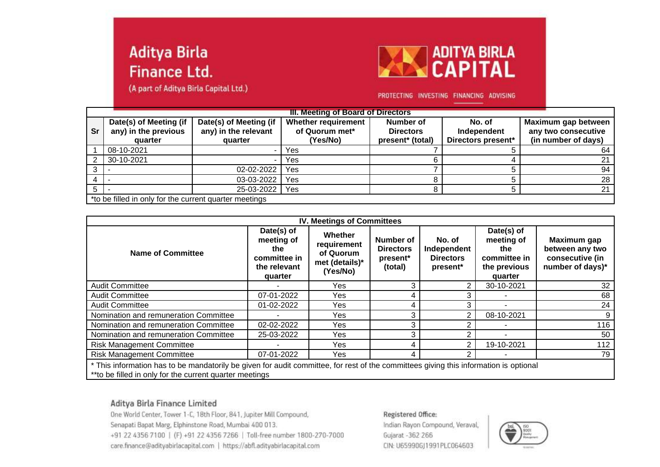(A part of Aditya Birla Capital Ltd.)



### PROTECTING INVESTING FINANCING ADVISING

|           | III. Meeting of Board of Directors                        |                                                           |                                                          |                                                   |                                             |                                                                   |  |  |
|-----------|-----------------------------------------------------------|-----------------------------------------------------------|----------------------------------------------------------|---------------------------------------------------|---------------------------------------------|-------------------------------------------------------------------|--|--|
| <b>Sr</b> | Date(s) of Meeting (if<br>any) in the previous<br>quarter | Date(s) of Meeting (if<br>any) in the relevant<br>quarter | <b>Whether requirement</b><br>of Quorum met*<br>(Yes/No) | Number of<br><b>Directors</b><br>present* (total) | No. of<br>Independent<br>Directors present* | Maximum gap between<br>any two consecutive<br>(in number of days) |  |  |
|           | 08-10-2021                                                |                                                           | Yes                                                      |                                                   |                                             | 64                                                                |  |  |
|           | 30-10-2021                                                |                                                           | Yes                                                      |                                                   |                                             | 21                                                                |  |  |
|           |                                                           | 02-02-2022                                                | Yes                                                      |                                                   |                                             | 94                                                                |  |  |
|           |                                                           | 03-03-2022                                                | Yes                                                      |                                                   |                                             | 28                                                                |  |  |
|           |                                                           | 25-03-2022                                                | Yes                                                      |                                                   |                                             | 21                                                                |  |  |
|           | *to be filled in only for the current quarter meetings    |                                                           |                                                          |                                                   |                                             |                                                                   |  |  |

| <b>IV. Meetings of Committees</b>                                                                                                                                                                |                                                                            |                                                                   |                                                      |                                                       |                                                                            |                                                                       |  |
|--------------------------------------------------------------------------------------------------------------------------------------------------------------------------------------------------|----------------------------------------------------------------------------|-------------------------------------------------------------------|------------------------------------------------------|-------------------------------------------------------|----------------------------------------------------------------------------|-----------------------------------------------------------------------|--|
| <b>Name of Committee</b>                                                                                                                                                                         | Date(s) of<br>meeting of<br>the<br>committee in<br>the relevant<br>quarter | Whether<br>requirement<br>of Quorum<br>met (details)*<br>(Yes/No) | Number of<br><b>Directors</b><br>present*<br>(total) | No. of<br>Independent<br><b>Directors</b><br>present* | Date(s) of<br>meeting of<br>the<br>committee in<br>the previous<br>quarter | Maximum gap<br>between any two<br>consecutive (in<br>number of days)* |  |
| <b>Audit Committee</b>                                                                                                                                                                           |                                                                            | Yes                                                               | 3                                                    | 2                                                     | 30-10-2021                                                                 | 32                                                                    |  |
| <b>Audit Committee</b>                                                                                                                                                                           | 07-01-2022                                                                 | Yes                                                               | 4                                                    | 3                                                     |                                                                            | 68                                                                    |  |
| <b>Audit Committee</b>                                                                                                                                                                           | 01-02-2022                                                                 | Yes                                                               | 4                                                    | 3                                                     |                                                                            | 24                                                                    |  |
| Nomination and remuneration Committee                                                                                                                                                            |                                                                            | Yes.                                                              | 3                                                    | 2                                                     | 08-10-2021                                                                 | 9                                                                     |  |
| Nomination and remuneration Committee                                                                                                                                                            | 02-02-2022                                                                 | Yes                                                               | 3                                                    | 2                                                     |                                                                            | 116                                                                   |  |
| Nomination and remuneration Committee                                                                                                                                                            | 25-03-2022                                                                 | Yes                                                               | 3                                                    | 2                                                     |                                                                            | 50                                                                    |  |
| <b>Risk Management Committee</b>                                                                                                                                                                 |                                                                            | Yes.                                                              | 4                                                    | 2                                                     | 19-10-2021                                                                 | 112                                                                   |  |
| <b>Risk Management Committee</b>                                                                                                                                                                 | 07-01-2022                                                                 | Yes                                                               | 4                                                    | 2                                                     |                                                                            | 79                                                                    |  |
| * This information has to be mandatorily be given for audit committee, for rest of the committees giving this information is optional<br>**to be filled in only for the current quarter meetings |                                                                            |                                                                   |                                                      |                                                       |                                                                            |                                                                       |  |

Aditya Birla Finance Limited

One World Center, Tower 1-C, 18th Floor, 841, Jupiter Mill Compound, Senapati Bapat Marg, Elphinstone Road, Mumbai 400 013. +91 22 4356 7100 | (F) +91 22 4356 7266 | Toll-free number 1800-270-7000 care.finance@adityabirlacapital.com | https://abfl.adityabirlacapital.com

#### Registered Office:

Indian Rayon Compound, Veraval, Gujarat -362 266 CIN: U65990GJ1991PLC064603

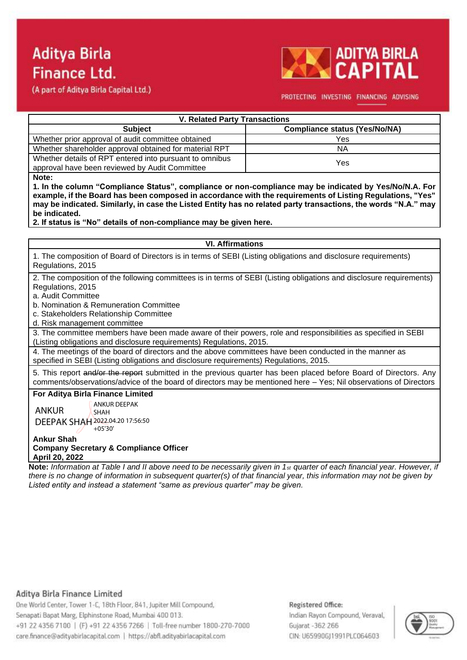**ADITYA BIRLA CAPITA** 

(A part of Aditya Birla Capital Ltd.)

### PROTECTING INVESTING FINANCING ADVISING

| <b>V. Related Party Transactions</b>                    |                                      |  |  |  |  |
|---------------------------------------------------------|--------------------------------------|--|--|--|--|
| <b>Subject</b>                                          | <b>Compliance status (Yes/No/NA)</b> |  |  |  |  |
| Whether prior approval of audit committee obtained      | Yes                                  |  |  |  |  |
| Whether shareholder approval obtained for material RPT  | ΝA                                   |  |  |  |  |
| Whether details of RPT entered into pursuant to omnibus | Yes                                  |  |  |  |  |
| approval have been reviewed by Audit Committee          |                                      |  |  |  |  |

**Note:**

**1. In the column "Compliance Status", compliance or non-compliance may be indicated by Yes/No/N.A. For example, if the Board has been composed in accordance with the requirements of Listing Regulations, "Yes" may be indicated. Similarly, in case the Listed Entity has no related party transactions, the words "N.A." may be indicated.**

**2. If status is "No" details of non-compliance may be given here.**

### **VI. Affirmations**  1. The composition of Board of Directors is in terms of SEBI (Listing obligations and disclosure requirements) Regulations, 2015 2. The composition of the following committees is in terms of SEBI (Listing obligations and disclosure requirements) Regulations, 2015 a. Audit Committee b. Nomination & Remuneration Committee c. Stakeholders Relationship Committee d. Risk management committee 3. The committee members have been made aware of their powers, role and responsibilities as specified in SEBI (Listing obligations and disclosure requirements) Regulations, 2015. 4. The meetings of the board of directors and the above committees have been conducted in the manner as specified in SEBI (Listing obligations and disclosure requirements) Regulations, 2015. 5. This report and/or the report submitted in the previous quarter has been placed before Board of Directors. Any comments/observations/advice of the board of directors may be mentioned here – Yes; Nil observations of Directors **For Aditya Birla Finance Limited** ANKUR ANKUR DEEPAK SHAH

DEEPAK SHAH 2022.04.20 17:56:50 +05'30'

### **Ankur Shah Company Secretary & Compliance Officer April 20, 2022**

**Note:** *Information at Table I and II above need to be necessarily given in 1st quarter of each financial year. However, if there is no change of information in subsequent quarter(s) of that financial year, this information may not be given by Listed entity and instead a statement "same as previous quarter" may be given.*

# Aditya Birla Finance Limited

One World Center, Tower 1-C, 18th Floor, 841, Jupiter Mill Compound, Senapati Bapat Marg, Elphinstone Road, Mumbai 400 013. +91 22 4356 7100 | (F) +91 22 4356 7266 | Toll-free number 1800-270-7000 care.finance@adityabirlacapital.com | https://abfl.adityabirlacapital.com

# Registered Office:

Indian Rayon Compound, Veraval, Gujarat -362 266 CIN: U65990GI1991PLC064603

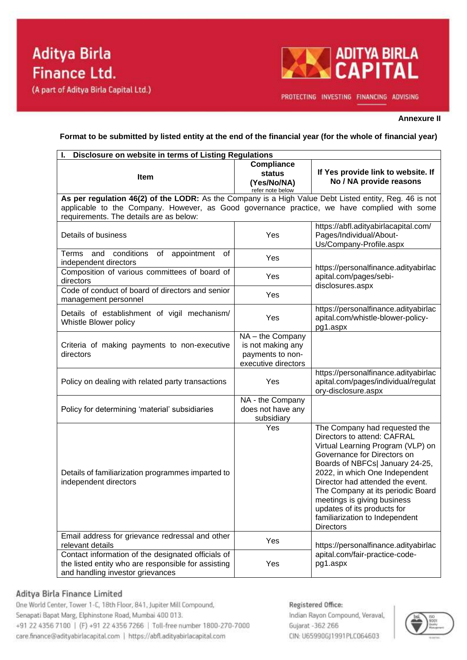

PROTECTING INVESTING FINANCING ADVISING

### **Annexure II**

**Format to be submitted by listed entity at the end of the financial year (for the whole of financial year)**

| Disclosure on website in terms of Listing Regulations                                                                                                                                                                                            |                                                                                |                                                                                                                                                                                                                                                                                                                                                                                                    |  |  |  |  |
|--------------------------------------------------------------------------------------------------------------------------------------------------------------------------------------------------------------------------------------------------|--------------------------------------------------------------------------------|----------------------------------------------------------------------------------------------------------------------------------------------------------------------------------------------------------------------------------------------------------------------------------------------------------------------------------------------------------------------------------------------------|--|--|--|--|
| <b>Item</b>                                                                                                                                                                                                                                      | <b>Compliance</b><br>status<br>(Yes/No/NA)<br>refer note below                 | If Yes provide link to website. If<br>No / NA provide reasons                                                                                                                                                                                                                                                                                                                                      |  |  |  |  |
| As per regulation 46(2) of the LODR: As the Company is a High Value Debt Listed entity, Reg. 46 is not<br>applicable to the Company. However, as Good governance practice, we have complied with some<br>requirements. The details are as below: |                                                                                |                                                                                                                                                                                                                                                                                                                                                                                                    |  |  |  |  |
| Details of business                                                                                                                                                                                                                              | Yes                                                                            | https://abfl.adityabirlacapital.com/<br>Pages/Individual/About-<br>Us/Company-Profile.aspx                                                                                                                                                                                                                                                                                                         |  |  |  |  |
| conditions<br>appointment<br>Terms<br>and<br>of<br>οf<br>independent directors                                                                                                                                                                   | Yes                                                                            |                                                                                                                                                                                                                                                                                                                                                                                                    |  |  |  |  |
| Composition of various committees of board of<br>directors                                                                                                                                                                                       | Yes                                                                            | https://personalfinance.adityabirlac<br>apital.com/pages/sebi-<br>disclosures.aspx                                                                                                                                                                                                                                                                                                                 |  |  |  |  |
| Code of conduct of board of directors and senior<br>management personnel                                                                                                                                                                         | Yes                                                                            |                                                                                                                                                                                                                                                                                                                                                                                                    |  |  |  |  |
| Details of establishment of vigil mechanism/<br>Whistle Blower policy                                                                                                                                                                            | Yes                                                                            | https://personalfinance.adityabirlac<br>apital.com/whistle-blower-policy-<br>pg1.aspx                                                                                                                                                                                                                                                                                                              |  |  |  |  |
| Criteria of making payments to non-executive<br>directors                                                                                                                                                                                        | NA-the Company<br>is not making any<br>payments to non-<br>executive directors |                                                                                                                                                                                                                                                                                                                                                                                                    |  |  |  |  |
| Policy on dealing with related party transactions                                                                                                                                                                                                | Yes                                                                            | https://personalfinance.adityabirlac<br>apital.com/pages/individual/regulat<br>ory-disclosure.aspx                                                                                                                                                                                                                                                                                                 |  |  |  |  |
| Policy for determining 'material' subsidiaries                                                                                                                                                                                                   | NA - the Company<br>does not have any<br>subsidiary                            |                                                                                                                                                                                                                                                                                                                                                                                                    |  |  |  |  |
| Details of familiarization programmes imparted to<br>independent directors                                                                                                                                                                       | Yes                                                                            | The Company had requested the<br>Directors to attend: CAFRAL<br>Virtual Learning Program (VLP) on<br>Governance for Directors on<br>Boards of NBFCs  January 24-25,<br>2022, in which One Independent<br>Director had attended the event.<br>The Company at its periodic Board<br>meetings is giving business<br>updates of its products for<br>familiarization to Independent<br><b>Directors</b> |  |  |  |  |
| Email address for grievance redressal and other<br>relevant details                                                                                                                                                                              | Yes                                                                            | https://personalfinance.adityabirlac                                                                                                                                                                                                                                                                                                                                                               |  |  |  |  |
| Contact information of the designated officials of<br>the listed entity who are responsible for assisting<br>and handling investor grievances                                                                                                    | Yes                                                                            | apital.com/fair-practice-code-<br>pg1.aspx                                                                                                                                                                                                                                                                                                                                                         |  |  |  |  |

### Aditya Birla Finance Limited

One World Center, Tower 1-C, 18th Floor, 841, Jupiter Mill Compound, Senapati Bapat Marg, Elphinstone Road, Mumbai 400 013. +91 22 4356 7100 | (F) +91 22 4356 7266 | Toll-free number 1800-270-7000 care.finance@adityabirlacapital.com | https://abfl.adityabirlacapital.com

Registered Office: Indian Rayon Compound, Veraval, Gujarat -362 266 CIN: U65990GJ1991PLC064603

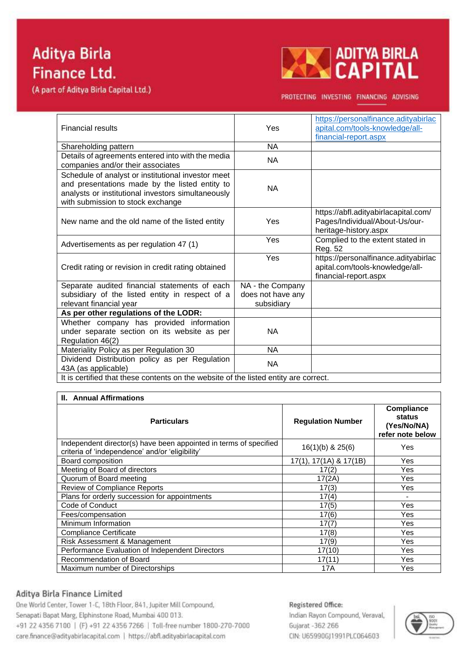(A part of Aditya Birla Capital Ltd.)



PROTECTING INVESTING FINANCING ADVISING

| <b>Financial results</b>                                                                                                                                                                        | Yes               | https://personalfinance.adityabirlac<br>apital.com/tools-knowledge/all-<br>financial-report.aspx |  |  |  |  |
|-------------------------------------------------------------------------------------------------------------------------------------------------------------------------------------------------|-------------------|--------------------------------------------------------------------------------------------------|--|--|--|--|
| Shareholding pattern                                                                                                                                                                            | NA                |                                                                                                  |  |  |  |  |
| Details of agreements entered into with the media<br>companies and/or their associates                                                                                                          | <b>NA</b>         |                                                                                                  |  |  |  |  |
| Schedule of analyst or institutional investor meet<br>and presentations made by the listed entity to<br>analysts or institutional investors simultaneously<br>with submission to stock exchange | <b>NA</b>         |                                                                                                  |  |  |  |  |
| New name and the old name of the listed entity                                                                                                                                                  | Yes               | https://abfl.adityabirlacapital.com/<br>Pages/Individual/About-Us/our-<br>heritage-history.aspx  |  |  |  |  |
| Advertisements as per regulation 47 (1)                                                                                                                                                         | Yes               | Complied to the extent stated in<br>Reg. 52                                                      |  |  |  |  |
| Credit rating or revision in credit rating obtained                                                                                                                                             | Yes               | https://personalfinance.adityabirlac<br>apital.com/tools-knowledge/all-<br>financial-report.aspx |  |  |  |  |
| Separate audited financial statements of each                                                                                                                                                   | NA - the Company  |                                                                                                  |  |  |  |  |
| subsidiary of the listed entity in respect of a                                                                                                                                                 | does not have any |                                                                                                  |  |  |  |  |
| relevant financial year                                                                                                                                                                         | subsidiary        |                                                                                                  |  |  |  |  |
| As per other regulations of the LODR:                                                                                                                                                           |                   |                                                                                                  |  |  |  |  |
| Whether company has provided information<br>under separate section on its website as per<br>Regulation 46(2)                                                                                    | <b>NA</b>         |                                                                                                  |  |  |  |  |
| Materiality Policy as per Regulation 30                                                                                                                                                         | <b>NA</b>         |                                                                                                  |  |  |  |  |
| Dividend Distribution policy as per Regulation<br>43A (as applicable)                                                                                                                           | <b>NA</b>         |                                                                                                  |  |  |  |  |
| It is certified that these contents on the website of the listed entity are correct.                                                                                                            |                   |                                                                                                  |  |  |  |  |

# **II.** Annual Affirmations

| <b>Particulars</b>                                                                                                   | <b>Regulation Number</b>      | <b>Compliance</b><br>status<br>(Yes/No/NA)<br>refer note below |
|----------------------------------------------------------------------------------------------------------------------|-------------------------------|----------------------------------------------------------------|
| Independent director(s) have been appointed in terms of specified<br>criteria of 'independence' and/or 'eligibility' | $16(1)(b)$ & $25(6)$          | Yes                                                            |
| Board composition                                                                                                    | $17(1A)$ & $17(1B)$<br>17(1). | Yes.                                                           |
| Meeting of Board of directors                                                                                        | 17(2)                         | Yes                                                            |
| Quorum of Board meeting                                                                                              | 17(2A)                        | Yes                                                            |
| Review of Compliance Reports                                                                                         | 17(3)                         | Yes                                                            |
| Plans for orderly succession for appointments                                                                        | 17(4)                         |                                                                |
| Code of Conduct                                                                                                      | 17(5)                         | Yes                                                            |
| Fees/compensation                                                                                                    | 17(6)                         | Yes                                                            |
| Minimum Information                                                                                                  | 17(7)                         | Yes                                                            |
| <b>Compliance Certificate</b>                                                                                        | 17(8)                         | Yes.                                                           |
| Risk Assessment & Management                                                                                         | 17(9)                         | Yes                                                            |
| Performance Evaluation of Independent Directors                                                                      | 17(10)                        | Yes                                                            |
| Recommendation of Board                                                                                              | 17(11)                        | Yes                                                            |
| Maximum number of Directorships                                                                                      | 17A                           | Yes                                                            |

### Aditya Birla Finance Limited

One World Center, Tower 1-C, 18th Floor, 841, Jupiter Mill Compound, Senapati Bapat Marg, Elphinstone Road, Mumbai 400 013. +91 22 4356 7100 | (F) +91 22 4356 7266 | Toll-free number 1800-270-7000 care.finance@adityabirlacapital.com | https://abfl.adityabirlacapital.com

Registered Office: Indian Rayon Compound, Veraval, Gujarat - 362 266 CIN: U65990GJ1991PLC064603

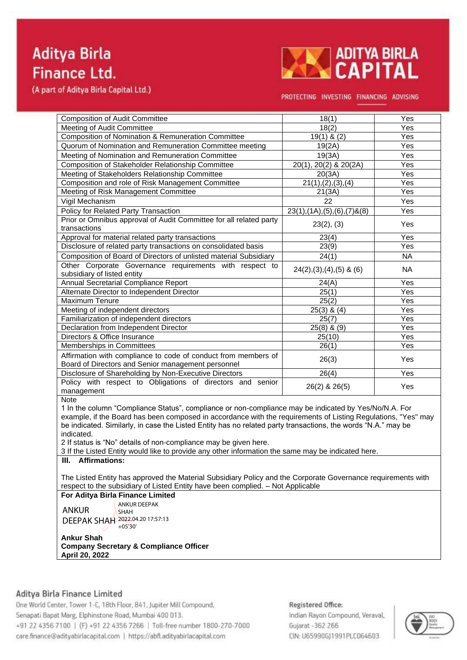(A part of Aditya Birla Capital Ltd.)



PROTECTING INVESTING FINANCING ADVISING

| <b>Composition of Audit Committee</b>                                                                                                                                                           | 18(1)                                | Yes               |  |  |  |
|-------------------------------------------------------------------------------------------------------------------------------------------------------------------------------------------------|--------------------------------------|-------------------|--|--|--|
| Meeting of Audit Committee                                                                                                                                                                      | $\overline{18(2)}$                   | Yes               |  |  |  |
| Composition of Nomination & Remuneration Committee                                                                                                                                              | 19(1) & $(2)$                        | Yes               |  |  |  |
| Quorum of Nomination and Remuneration Committee meeting                                                                                                                                         | 19(2A)                               | Yes               |  |  |  |
| Meeting of Nomination and Remuneration Committee                                                                                                                                                | 19(3A)                               | Yes               |  |  |  |
| Composition of Stakeholder Relationship Committee                                                                                                                                               | 20(1), 20(2) & 20(2A)                | Yes               |  |  |  |
| Meeting of Stakeholders Relationship Committee                                                                                                                                                  | 20(3A)                               | Yes               |  |  |  |
| Composition and role of Risk Management Committee                                                                                                                                               | 21(1), (2), (3), (4)                 | Yes               |  |  |  |
| Meeting of Risk Management Committee                                                                                                                                                            | 21(3A)                               | Yes               |  |  |  |
| Vigil Mechanism                                                                                                                                                                                 | 22                                   | Yes               |  |  |  |
| <b>Policy for Related Party Transaction</b>                                                                                                                                                     | $23(1), (1A), (5), (6), (7)$ & $(8)$ | Yes               |  |  |  |
| Prior or Omnibus approval of Audit Committee for all related party<br>transactions                                                                                                              | 23(2), (3)                           | Yes               |  |  |  |
| Approval for material related party transactions                                                                                                                                                | 23(4)                                | Yes               |  |  |  |
| Disclosure of related party transactions on consolidated basis                                                                                                                                  | 23(9)                                | Yes               |  |  |  |
| Composition of Board of Directors of unlisted material Subsidiary                                                                                                                               | 24(1)                                | <b>NA</b>         |  |  |  |
| Other Corporate Governance requirements with respect to<br>subsidiary of listed entity                                                                                                          | $24(2), (3), (4), (5)$ & $(6)$       | <b>NA</b>         |  |  |  |
| Annual Secretarial Compliance Report                                                                                                                                                            | 24(A)                                | Yes               |  |  |  |
| Alternate Director to Independent Director                                                                                                                                                      | 25(1)                                | Yes               |  |  |  |
| Maximum Tenure                                                                                                                                                                                  | 25(2)                                | Yes               |  |  |  |
| Meeting of independent directors                                                                                                                                                                | $25(3)$ & $(4)$                      | $\overline{Y}$ es |  |  |  |
| Familiarization of independent directors                                                                                                                                                        | 25(7)                                | Yes               |  |  |  |
| Declaration from Independent Director                                                                                                                                                           | $25(8)$ & $(9)$                      | Yes               |  |  |  |
| Directors & Office Insurance                                                                                                                                                                    | 25(10)                               | Yes               |  |  |  |
| Memberships in Committees                                                                                                                                                                       | 26(1)                                | Yes               |  |  |  |
| Affirmation with compliance to code of conduct from members of<br>Board of Directors and Senior management personnel                                                                            | 26(3)                                | Yes               |  |  |  |
| Disclosure of Shareholding by Non-Executive Directors                                                                                                                                           | 26(4)                                | Yes               |  |  |  |
| Policy with respect to Obligations of directors and senior<br>management                                                                                                                        | 26(2) & 26(5)                        | Yes               |  |  |  |
| <b>Note</b>                                                                                                                                                                                     |                                      |                   |  |  |  |
| 1 In the column "Compliance Status", compliance or non-compliance may be indicated by Yes/No/N.A. For                                                                                           |                                      |                   |  |  |  |
| example, if the Board has been composed in accordance with the requirements of Listing Regulations, "Yes" may                                                                                   |                                      |                   |  |  |  |
| be indicated. Similarly, in case the Listed Entity has no related party transactions, the words "N.A." may be                                                                                   |                                      |                   |  |  |  |
| indicated.                                                                                                                                                                                      |                                      |                   |  |  |  |
| 2 If status is "No" details of non-compliance may be given here.                                                                                                                                |                                      |                   |  |  |  |
| 3 If the Listed Entity would like to provide any other information the same may be indicated here.                                                                                              |                                      |                   |  |  |  |
| <b>Affirmations:</b><br>III.                                                                                                                                                                    |                                      |                   |  |  |  |
| The Listed Entity has approved the Material Subsidiary Policy and the Corporate Governance requirements with<br>respect to the subsidiary of Listed Entity have been complied. - Not Applicable |                                      |                   |  |  |  |

**For Aditya Birla Finance Limited** ANKUR ANKUR DEEPAK SHAH

DEEPAK SHAH 2022.04.20 17:57:13 +05'30'

**Ankur Shah Company Secretary & Compliance Officer April 20, 2022**

# Aditya Birla Finance Limited

One World Center, Tower 1-C, 18th Floor, 841, Jupiter Mill Compound, Senapati Bapat Marg, Elphinstone Road, Mumbai 400 013. +91 22 4356 7100 | (F) +91 22 4356 7266 | Toll-free number 1800-270-7000 care.finance@adityabirlacapital.com | https://abfl.adityabirlacapital.com

### Registered Office:

Indian Rayon Compound, Veraval, Gujarat - 362 266 CIN: U65990GJ1991PLC064603

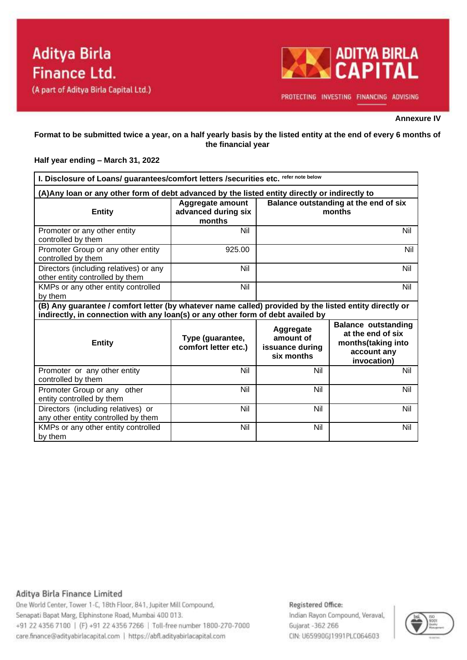

PROTECTING INVESTING FINANCING ADVISING

#### **Annexure IV**

### **Format to be submitted twice a year, on a half yearly basis by the listed entity at the end of every 6 months of the financial year**

### **Half year ending – March 31, 2022**

| I. Disclosure of Loans/ guarantees/comfort letters / securities etc. refer note below                                                                                                     |                                                   |                                                         |                                                                                                     |  |  |  |
|-------------------------------------------------------------------------------------------------------------------------------------------------------------------------------------------|---------------------------------------------------|---------------------------------------------------------|-----------------------------------------------------------------------------------------------------|--|--|--|
| (A) Any loan or any other form of debt advanced by the listed entity directly or indirectly to                                                                                            |                                                   |                                                         |                                                                                                     |  |  |  |
| <b>Entity</b>                                                                                                                                                                             | Aggregate amount<br>advanced during six<br>months | Balance outstanding at the end of six<br>months         |                                                                                                     |  |  |  |
| Promoter or any other entity<br>controlled by them                                                                                                                                        | Nil                                               | Nil                                                     |                                                                                                     |  |  |  |
| Promoter Group or any other entity<br>controlled by them                                                                                                                                  | 925.00                                            | Nil                                                     |                                                                                                     |  |  |  |
| Directors (including relatives) or any<br>other entity controlled by them                                                                                                                 | Nil                                               |                                                         | Nil                                                                                                 |  |  |  |
| KMPs or any other entity controlled<br>by them                                                                                                                                            | Nil                                               | Nil                                                     |                                                                                                     |  |  |  |
| (B) Any guarantee / comfort letter (by whatever name called) provided by the listed entity directly or<br>indirectly, in connection with any loan(s) or any other form of debt availed by |                                                   |                                                         |                                                                                                     |  |  |  |
| <b>Entity</b>                                                                                                                                                                             | Type (guarantee,<br>comfort letter etc.)          | Aggregate<br>amount of<br>issuance during<br>six months | <b>Balance outstanding</b><br>at the end of six<br>months(taking into<br>account any<br>invocation) |  |  |  |
| Promoter or any other entity<br>controlled by them                                                                                                                                        | Nil                                               | Nil                                                     | <b>Nil</b>                                                                                          |  |  |  |
| Promoter Group or any other<br>entity controlled by them                                                                                                                                  | Nil                                               | Nil                                                     | Nil                                                                                                 |  |  |  |
| Directors (including relatives) or<br>any other entity controlled by them                                                                                                                 | Nil                                               | Nil                                                     | Nil                                                                                                 |  |  |  |
| KMPs or any other entity controlled<br>by them                                                                                                                                            | Nil                                               | Nil                                                     | Nil                                                                                                 |  |  |  |

### Aditya Birla Finance Limited

One World Center, Tower 1-C, 18th Floor, 841, Jupiter Mill Compound, Senapati Bapat Marg, Elphinstone Road, Mumbai 400 013. +91 22 4356 7100 | (F) +91 22 4356 7266 | Toll-free number 1800-270-7000 care.finance@adityabirlacapital.com | https://abfl.adityabirlacapital.com

### Registered Office:

Indian Rayon Compound, Veraval, Gujarat -362 266 CIN: U65990GJ1991PLC064603